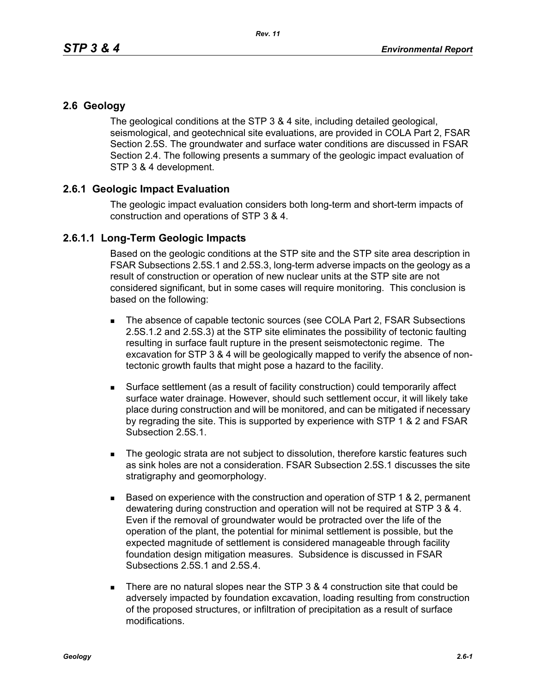## **2.6 Geology**

The geological conditions at the STP 3 & 4 site, including detailed geological, seismological, and geotechnical site evaluations, are provided in COLA Part 2, FSAR Section 2.5S. The groundwater and surface water conditions are discussed in FSAR Section 2.4. The following presents a summary of the geologic impact evaluation of STP 3 & 4 development.

## **2.6.1 Geologic Impact Evaluation**

The geologic impact evaluation considers both long-term and short-term impacts of construction and operations of STP 3 & 4.

## **2.6.1.1 Long-Term Geologic Impacts**

Based on the geologic conditions at the STP site and the STP site area description in FSAR Subsections 2.5S.1 and 2.5S.3, long-term adverse impacts on the geology as a result of construction or operation of new nuclear units at the STP site are not considered significant, but in some cases will require monitoring. This conclusion is based on the following:

- The absence of capable tectonic sources (see COLA Part 2, FSAR Subsections 2.5S.1.2 and 2.5S.3) at the STP site eliminates the possibility of tectonic faulting resulting in surface fault rupture in the present seismotectonic regime. The excavation for STP 3 & 4 will be geologically mapped to verify the absence of nontectonic growth faults that might pose a hazard to the facility.
- Surface settlement (as a result of facility construction) could temporarily affect surface water drainage. However, should such settlement occur, it will likely take place during construction and will be monitored, and can be mitigated if necessary by regrading the site. This is supported by experience with STP 1 & 2 and FSAR Subsection 2.5S.1.
- The geologic strata are not subject to dissolution, therefore karstic features such as sink holes are not a consideration. FSAR Subsection 2.5S.1 discusses the site stratigraphy and geomorphology.
- $\blacksquare$  Based on experience with the construction and operation of STP 1 & 2, permanent dewatering during construction and operation will not be required at STP 3 & 4. Even if the removal of groundwater would be protracted over the life of the operation of the plant, the potential for minimal settlement is possible, but the expected magnitude of settlement is considered manageable through facility foundation design mitigation measures. Subsidence is discussed in FSAR Subsections 2.5S.1 and 2.5S.4.
- There are no natural slopes near the STP  $3.8.4$  construction site that could be adversely impacted by foundation excavation, loading resulting from construction of the proposed structures, or infiltration of precipitation as a result of surface modifications.